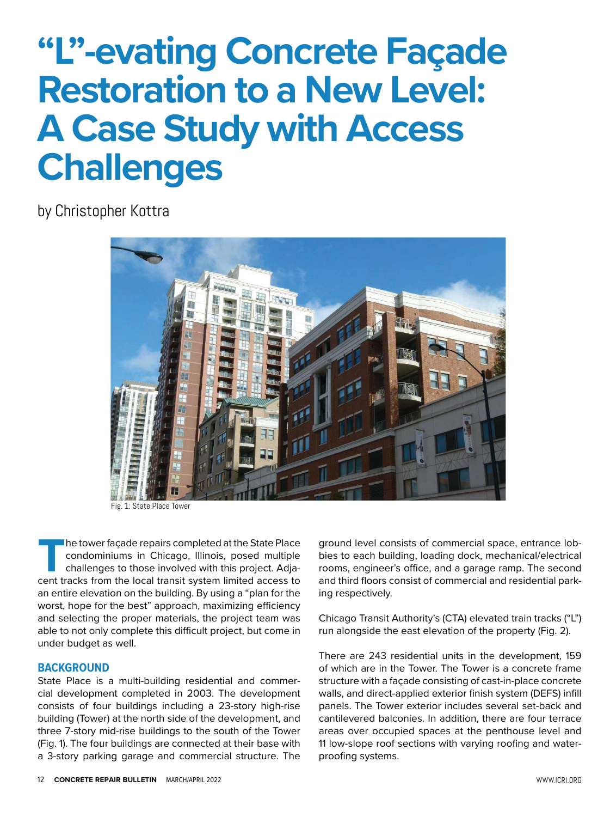# **"L"-evating Concrete Façade Restoration to a New Level: A Case Study with Access Challenges**

by Christopher Kottra



Fig. 1: State Place Tower

**T**he tower façade repairs completed at the State Place condominiums in Chicago, Illinois, posed multiple challenges to those involved with this project. Adjacent tracks from the local transit system limited access to an entire elevation on the building. By using a "plan for the worst, hope for the best" approach, maximizing efficiency and selecting the proper materials, the project team was able to not only complete this difficult project, but come in under budget as well.

#### **BACKGROUND**

State Place is a multi-building residential and commercial development completed in 2003. The development consists of four buildings including a 23-story high-rise building (Tower) at the north side of the development, and three 7-story mid-rise buildings to the south of the Tower (Fig. 1). The four buildings are connected at their base with a 3-story parking garage and commercial structure. The ground level consists of commercial space, entrance lobbies to each building, loading dock, mechanical/electrical rooms, engineer's office, and a garage ramp. The second and third floors consist of commercial and residential parking respectively.

Chicago Transit Authority's (CTA) elevated train tracks ("L") run alongside the east elevation of the property (Fig. 2).

There are 243 residential units in the development, 159 of which are in the Tower. The Tower is a concrete frame structure with a façade consisting of cast-in-place concrete walls, and direct-applied exterior finish system (DEFS) infill panels. The Tower exterior includes several set-back and cantilevered balconies. In addition, there are four terrace areas over occupied spaces at the penthouse level and 11 low-slope roof sections with varying roofing and waterproofing systems.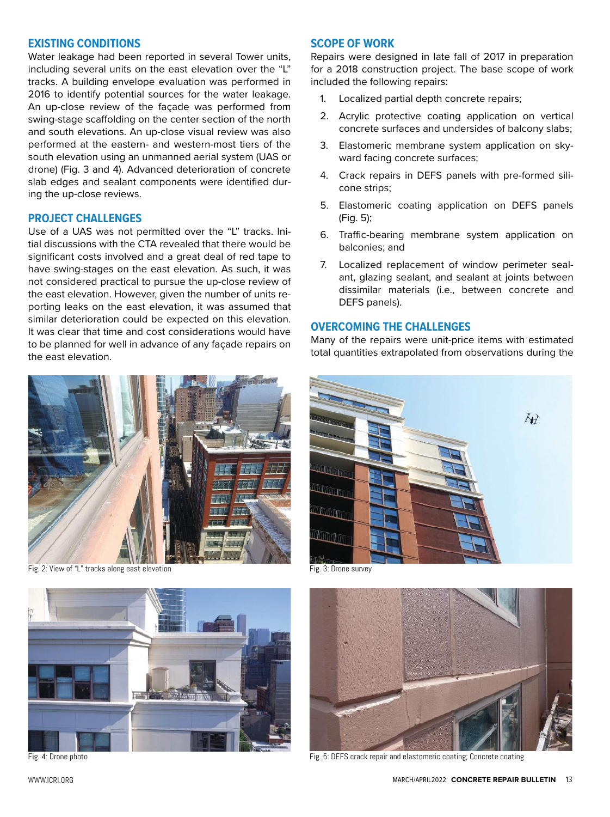#### **EXISTING CONDITIONS**

Water leakage had been reported in several Tower units, including several units on the east elevation over the "L" tracks. A building envelope evaluation was performed in 2016 to identify potential sources for the water leakage. An up-close review of the façade was performed from swing-stage scaffolding on the center section of the north and south elevations. An up-close visual review was also performed at the eastern- and western-most tiers of the south elevation using an unmanned aerial system (UAS or drone) (Fig. 3 and 4). Advanced deterioration of concrete slab edges and sealant components were identified during the up-close reviews.

#### **PROJECT CHALLENGES**

Use of a UAS was not permitted over the "L" tracks. Initial discussions with the CTA revealed that there would be significant costs involved and a great deal of red tape to have swing-stages on the east elevation. As such, it was not considered practical to pursue the up-close review of the east elevation. However, given the number of units reporting leaks on the east elevation, it was assumed that similar deterioration could be expected on this elevation. It was clear that time and cost considerations would have to be planned for well in advance of any façade repairs on the east elevation.



Fig. 2: View of "L" tracks along east elevation Fig. 3: Drone survey



#### **SCOPE OF WORK**

Repairs were designed in late fall of 2017 in preparation for a 2018 construction project. The base scope of work included the following repairs:

- 1. Localized partial depth concrete repairs;
- 2. Acrylic protective coating application on vertical concrete surfaces and undersides of balcony slabs;
- 3. Elastomeric membrane system application on skyward facing concrete surfaces;
- 4. Crack repairs in DEFS panels with pre-formed silicone strips;
- 5. Elastomeric coating application on DEFS panels (Fig. 5);
- 6. Traffic-bearing membrane system application on balconies; and
- 7. Localized replacement of window perimeter sealant, glazing sealant, and sealant at joints between dissimilar materials (i.e., between concrete and DEFS panels).

#### **OVERCOMING THE CHALLENGES**

Many of the repairs were unit-price items with estimated total quantities extrapolated from observations during the





Fig. 4: Drone photo Fig. 5: DEFS crack repair and elastomeric coating; Concrete coating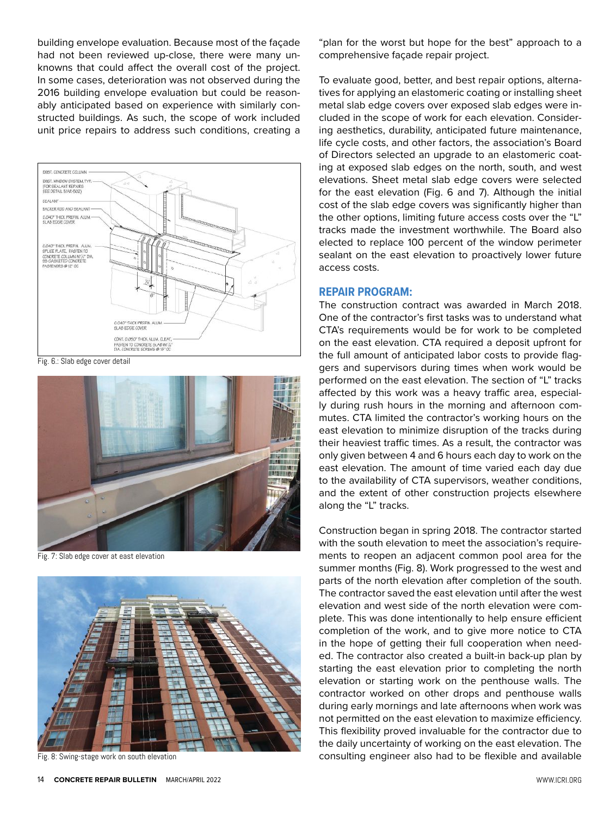building envelope evaluation. Because most of the façade had not been reviewed up-close, there were many unknowns that could affect the overall cost of the project. In some cases, deterioration was not observed during the 2016 building envelope evaluation but could be reasonably anticipated based on experience with similarly constructed buildings. As such, the scope of work included unit price repairs to address such conditions, creating a



Fig. 6.: Slab edge cover detail



Fig. 7: Slab edge cover at east elevation



Fig. 8: Swing-stage work on south elevation

"plan for the worst but hope for the best" approach to a comprehensive façade repair project.

To evaluate good, better, and best repair options, alternatives for applying an elastomeric coating or installing sheet metal slab edge covers over exposed slab edges were included in the scope of work for each elevation. Considering aesthetics, durability, anticipated future maintenance, life cycle costs, and other factors, the association's Board of Directors selected an upgrade to an elastomeric coating at exposed slab edges on the north, south, and west elevations. Sheet metal slab edge covers were selected for the east elevation (Fig. 6 and 7). Although the initial cost of the slab edge covers was significantly higher than the other options, limiting future access costs over the "L" tracks made the investment worthwhile. The Board also elected to replace 100 percent of the window perimeter sealant on the east elevation to proactively lower future access costs.

#### **REPAIR PROGRAM:**

The construction contract was awarded in March 2018. One of the contractor's first tasks was to understand what CTA's requirements would be for work to be completed on the east elevation. CTA required a deposit upfront for the full amount of anticipated labor costs to provide flaggers and supervisors during times when work would be performed on the east elevation. The section of "L" tracks affected by this work was a heavy traffic area, especially during rush hours in the morning and afternoon commutes. CTA limited the contractor's working hours on the east elevation to minimize disruption of the tracks during their heaviest traffic times. As a result, the contractor was only given between 4 and 6 hours each day to work on the east elevation. The amount of time varied each day due to the availability of CTA supervisors, weather conditions, and the extent of other construction projects elsewhere along the "L" tracks.

Construction began in spring 2018. The contractor started with the south elevation to meet the association's requirements to reopen an adjacent common pool area for the summer months (Fig. 8). Work progressed to the west and parts of the north elevation after completion of the south. The contractor saved the east elevation until after the west elevation and west side of the north elevation were complete. This was done intentionally to help ensure efficient completion of the work, and to give more notice to CTA in the hope of getting their full cooperation when needed. The contractor also created a built-in back-up plan by starting the east elevation prior to completing the north elevation or starting work on the penthouse walls. The contractor worked on other drops and penthouse walls during early mornings and late afternoons when work was not permitted on the east elevation to maximize efficiency. This flexibility proved invaluable for the contractor due to the daily uncertainty of working on the east elevation. The consulting engineer also had to be flexible and available